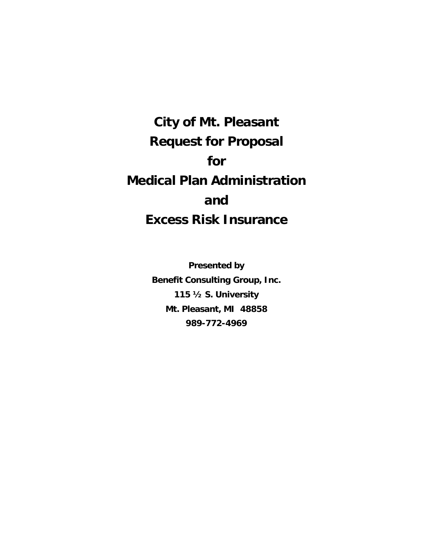**City of Mt. Pleasant Request for Proposal for Medical Plan Administration and Excess Risk Insurance**

> **Presented by Benefit Consulting Group, Inc. 115 ½ S. University Mt. Pleasant, MI 48858 989-772-4969**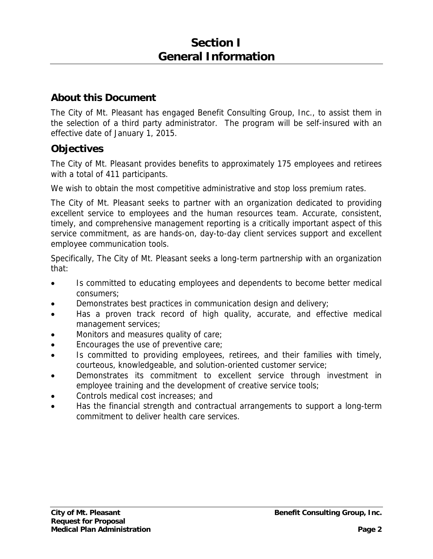## **Section I General Information**

## **About this Document**

The City of Mt. Pleasant has engaged Benefit Consulting Group, Inc., to assist them in the selection of a third party administrator. The program will be self-insured with an effective date of January 1, 2015.

## **Objectives**

The City of Mt. Pleasant provides benefits to approximately 175 employees and retirees with a total of 411 participants.

We wish to obtain the most competitive administrative and stop loss premium rates.

The City of Mt. Pleasant seeks to partner with an organization dedicated to providing excellent service to employees and the human resources team. Accurate, consistent, timely, and comprehensive management reporting is a critically important aspect of this service commitment, as are hands-on, day-to-day client services support and excellent employee communication tools.

Specifically, The City of Mt. Pleasant seeks a long-term partnership with an organization that:

- Is committed to educating employees and dependents to become better medical consumers;
- Demonstrates best practices in communication design and delivery;
- Has a proven track record of high quality, accurate, and effective medical management services;
- Monitors and measures quality of care;
- Encourages the use of preventive care;
- Is committed to providing employees, retirees, and their families with timely, courteous, knowledgeable, and solution-oriented customer service;
- Demonstrates its commitment to excellent service through investment in employee training and the development of creative service tools;
- Controls medical cost increases; and
- Has the financial strength and contractual arrangements to support a long-term commitment to deliver health care services.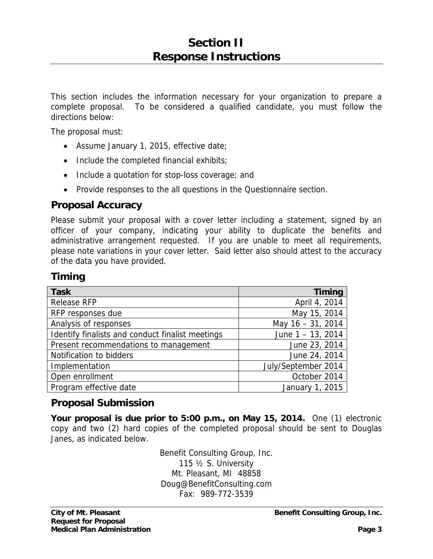This section includes the information necessary for your organization to prepare a complete proposal. To be considered a qualified candidate, you must follow the directions below:

The proposal must:

- Assume January 1, 2015, effective date;
- $\bullet$  Include the completed financial exhibits;
- Include a quotation for stop-loss coverage; and
- Provide responses to the all questions in the Questionnaire section.

## **Proposal Accuracy**

Please submit your proposal with a cover letter including a statement, signed by an officer of your company, indicating your ability to duplicate the benefits and administrative arrangement requested. If you are unable to meet all requirements, please note variations in your cover letter. Said letter also should attest to the accuracy of the data you have provided.

## **Timing**

| <b>Task</b>                                      | <b>Timing</b>        |
|--------------------------------------------------|----------------------|
| <b>Release RFP</b>                               | April 4, 2014        |
| RFP responses due                                | May 15, 2014         |
| Analysis of responses                            | May 16 - 31, 2014    |
| Identify finalists and conduct finalist meetings | June $1 - 13$ , 2014 |
| Present recommendations to management            | June 23, 2014        |
| Notification to bidders                          | June 24, 2014        |
| Implementation                                   | July/September 2014  |
| Open enrollment                                  | October 2014         |
| Program effective date                           | January 1, 2015      |

## **Proposal Submission**

**Your proposal is due prior to 5:00 p.m., on May 15, 2014.** One (1) electronic copy and two (2) hard copies of the completed proposal should be sent to Douglas Janes, as indicated below.

> Benefit Consulting Group, Inc. 115 ½ S. University Mt. Pleasant, MI 48858 Doug@BenefitConsulting.com Fax: 989-772-3539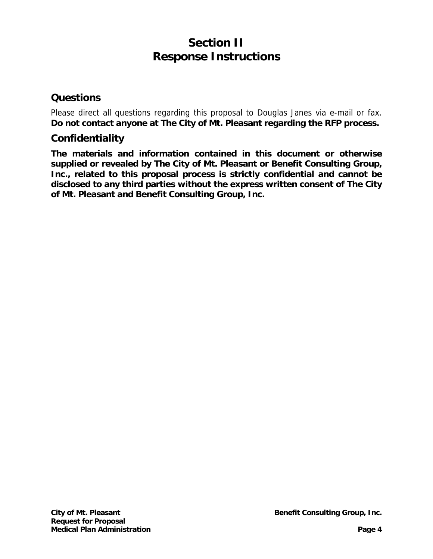## **Questions**

Please direct all questions regarding this proposal to Douglas Janes via e-mail or fax. **Do not contact anyone at The City of Mt. Pleasant regarding the RFP process.** 

## **Confidentiality**

**The materials and information contained in this document or otherwise supplied or revealed by The City of Mt. Pleasant or Benefit Consulting Group, Inc., related to this proposal process is strictly confidential and cannot be disclosed to any third parties without the express written consent of The City of Mt. Pleasant and Benefit Consulting Group, Inc.**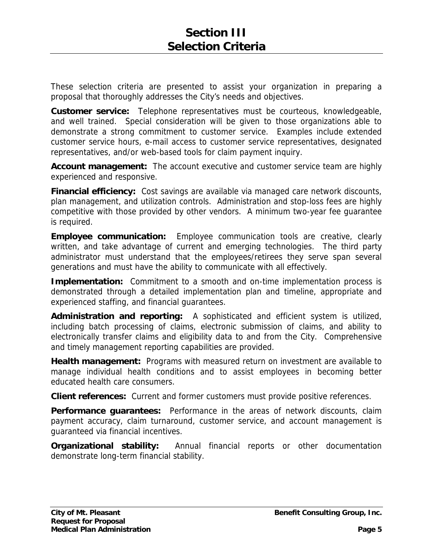These selection criteria are presented to assist your organization in preparing a proposal that thoroughly addresses the City's needs and objectives.

**Customer service:** Telephone representatives must be courteous, knowledgeable, and well trained. Special consideration will be given to those organizations able to demonstrate a strong commitment to customer service. Examples include extended customer service hours, e-mail access to customer service representatives, designated representatives, and/or web-based tools for claim payment inquiry.

**Account management:** The account executive and customer service team are highly experienced and responsive.

**Financial efficiency:** Cost savings are available via managed care network discounts, plan management, and utilization controls. Administration and stop-loss fees are highly competitive with those provided by other vendors. A minimum two-year fee guarantee is required.

**Employee communication:** Employee communication tools are creative, clearly written, and take advantage of current and emerging technologies. The third party administrator must understand that the employees/retirees they serve span several generations and must have the ability to communicate with all effectively.

**Implementation:** Commitment to a smooth and on-time implementation process is demonstrated through a detailed implementation plan and timeline, appropriate and experienced staffing, and financial guarantees.

**Administration and reporting:** A sophisticated and efficient system is utilized, including batch processing of claims, electronic submission of claims, and ability to electronically transfer claims and eligibility data to and from the City. Comprehensive and timely management reporting capabilities are provided.

**Health management:** Programs with measured return on investment are available to manage individual health conditions and to assist employees in becoming better educated health care consumers.

**Client references:** Current and former customers must provide positive references.

**Performance guarantees:** Performance in the areas of network discounts, claim payment accuracy, claim turnaround, customer service, and account management is guaranteed via financial incentives.

**Organizational stability:** Annual financial reports or other documentation demonstrate long-term financial stability.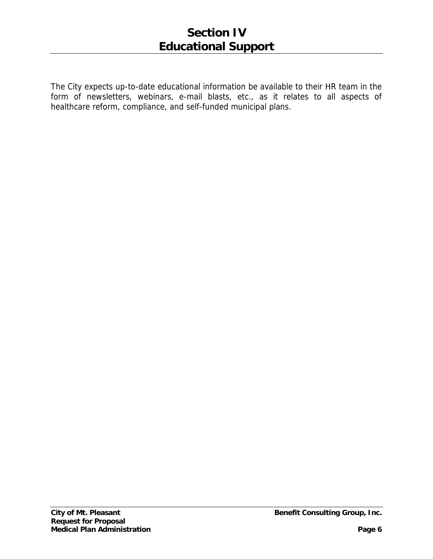The City expects up-to-date educational information be available to their HR team in the form of newsletters, webinars, e-mail blasts, etc., as it relates to all aspects of healthcare reform, compliance, and self-funded municipal plans.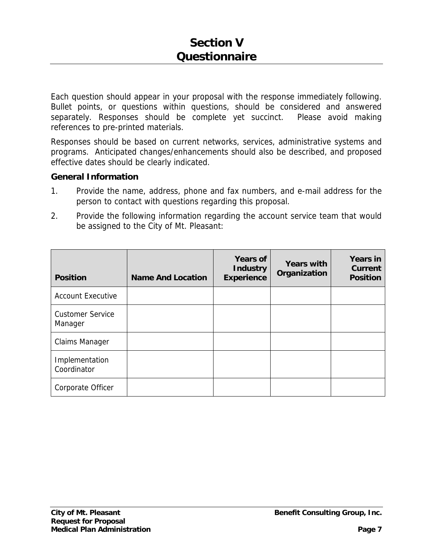Each question should appear in your proposal with the response immediately following. Bullet points, or questions within questions, should be considered and answered separately. Responses should be complete yet succinct. Please avoid making references to pre-printed materials.

Responses should be based on current networks, services, administrative systems and programs. Anticipated changes/enhancements should also be described, and proposed effective dates should be clearly indicated.

#### **General Information**

- 1. Provide the name, address, phone and fax numbers, and e-mail address for the person to contact with questions regarding this proposal.
- 2. Provide the following information regarding the account service team that would be assigned to the City of Mt. Pleasant:

| <b>Position</b>                    | <b>Name And Location</b> | <b>Years of</b><br><b>Industry</b><br><b>Experience</b> | <b>Years with</b><br>Organization | <b>Years in</b><br><b>Current</b><br><b>Position</b> |
|------------------------------------|--------------------------|---------------------------------------------------------|-----------------------------------|------------------------------------------------------|
| <b>Account Executive</b>           |                          |                                                         |                                   |                                                      |
| <b>Customer Service</b><br>Manager |                          |                                                         |                                   |                                                      |
| <b>Claims Manager</b>              |                          |                                                         |                                   |                                                      |
| Implementation<br>Coordinator      |                          |                                                         |                                   |                                                      |
| Corporate Officer                  |                          |                                                         |                                   |                                                      |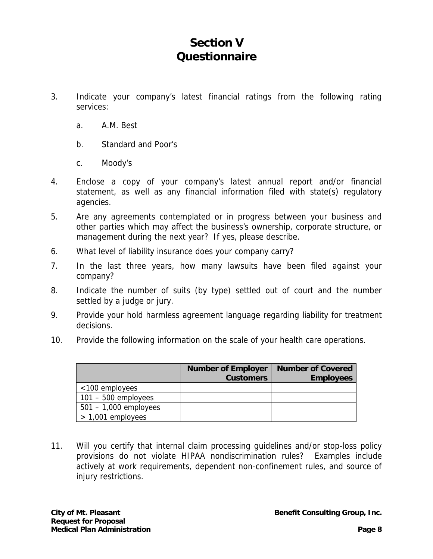- 3. Indicate your company's latest financial ratings from the following rating services:
	- a. A.M. Best
	- b. Standard and Poor's
	- c. Moody's
- 4. Enclose a copy of your company's latest annual report and/or financial statement, as well as any financial information filed with state(s) regulatory agencies.
- 5. Are any agreements contemplated or in progress between your business and other parties which may affect the business's ownership, corporate structure, or management during the next year? If yes, please describe.
- 6. What level of liability insurance does your company carry?
- 7. In the last three years, how many lawsuits have been filed against your company?
- 8. Indicate the number of suits (by type) settled out of court and the number settled by a judge or jury.
- 9. Provide your hold harmless agreement language regarding liability for treatment decisions.
- 10. Provide the following information on the scale of your health care operations.

|                         | <b>Number of Employer</b><br><b>Customers</b> | <b>Number of Covered</b><br><b>Employees</b> |
|-------------------------|-----------------------------------------------|----------------------------------------------|
| $<$ 100 employees       |                                               |                                              |
| $101 - 500$ employees   |                                               |                                              |
| $501 - 1,000$ employees |                                               |                                              |
| $> 1,001$ employees     |                                               |                                              |

11. Will you certify that internal claim processing guidelines and/or stop-loss policy provisions do not violate HIPAA nondiscrimination rules? Examples include actively at work requirements, dependent non-confinement rules, and source of injury restrictions.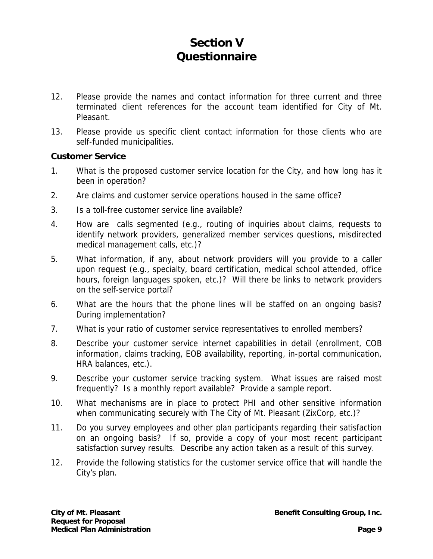- 12. Please provide the names and contact information for three current and three terminated client references for the account team identified for City of Mt. Pleasant.
- 13. Please provide us specific client contact information for those clients who are self-funded municipalities.

#### **Customer Service**

- 1. What is the proposed customer service location for the City, and how long has it been in operation?
- 2. Are claims and customer service operations housed in the same office?
- 3. Is a toll-free customer service line available?
- 4. How are calls segmented (e.g., routing of inquiries about claims, requests to identify network providers, generalized member services questions, misdirected medical management calls, etc.)?
- 5. What information, if any, about network providers will you provide to a caller upon request (e.g., specialty, board certification, medical school attended, office hours, foreign languages spoken, etc.)? Will there be links to network providers on the self-service portal?
- 6. What are the hours that the phone lines will be staffed on an ongoing basis? During implementation?
- 7. What is your ratio of customer service representatives to enrolled members?
- 8. Describe your customer service internet capabilities in detail (enrollment, COB information, claims tracking, EOB availability, reporting, in-portal communication, HRA balances, etc.).
- 9. Describe your customer service tracking system. What issues are raised most frequently? Is a monthly report available? Provide a sample report.
- 10. What mechanisms are in place to protect PHI and other sensitive information when communicating securely with The City of Mt. Pleasant (ZixCorp, etc.)?
- 11. Do you survey employees and other plan participants regarding their satisfaction on an ongoing basis? If so, provide a copy of your most recent participant satisfaction survey results. Describe any action taken as a result of this survey.
- 12. Provide the following statistics for the customer service office that will handle the City's plan.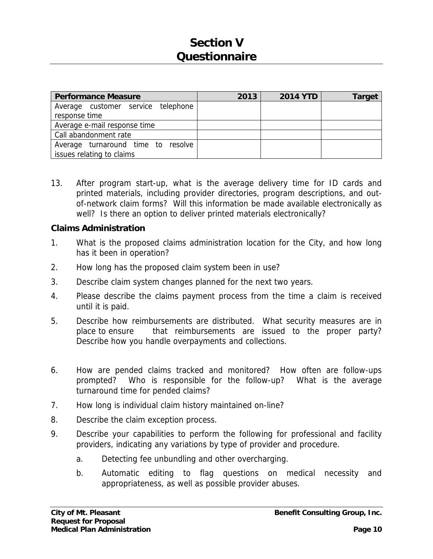# **Section V Questionnaire**

| <b>Performance Measure</b>                                      | 2013 | <b>2014 YTD</b> | Target |
|-----------------------------------------------------------------|------|-----------------|--------|
| Average customer service telephone<br>response time             |      |                 |        |
| Average e-mail response time                                    |      |                 |        |
| Call abandonment rate                                           |      |                 |        |
| Average turnaround time to resolve<br>issues relating to claims |      |                 |        |

13. After program start-up, what is the average delivery time for ID cards and printed materials, including provider directories, program descriptions, and outof-network claim forms? Will this information be made available electronically as well? Is there an option to deliver printed materials electronically?

#### **Claims Administration**

- 1. What is the proposed claims administration location for the City, and how long has it been in operation?
- 2. How long has the proposed claim system been in use?
- 3. Describe claim system changes planned for the next two years.
- 4. Please describe the claims payment process from the time a claim is received until it is paid.
- 5. Describe how reimbursements are distributed. What security measures are in place to ensure that reimbursements are issued to the proper party? Describe how you handle overpayments and collections.
- 6. How are pended claims tracked and monitored? How often are follow-ups prompted? Who is responsible for the follow-up? What is the average turnaround time for pended claims?
- 7. How long is individual claim history maintained on-line?
- 8. Describe the claim exception process.
- 9. Describe your capabilities to perform the following for professional and facility providers, indicating any variations by type of provider and procedure.
	- a. Detecting fee unbundling and other overcharging.
	- b. Automatic editing to flag questions on medical necessity and appropriateness, as well as possible provider abuses.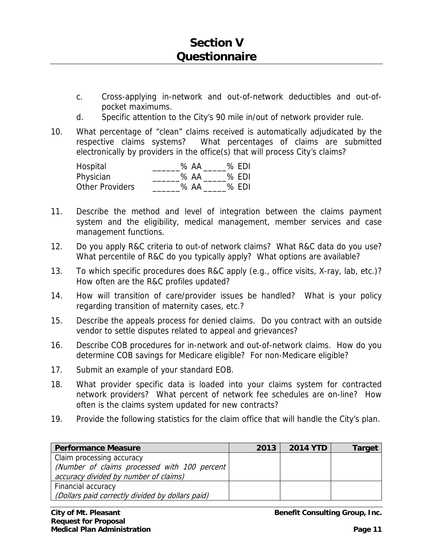- c. Cross-applying in-network and out-of-network deductibles and out-ofpocket maximums.
- d. Specific attention to the City's 90 mile in/out of network provider rule.
- 10. What percentage of "clean" claims received is automatically adjudicated by the respective claims systems? What percentages of claims are submitted electronically by providers in the office(s) that will process City's claims?

| Hospital               | $%$ AA | $%$ EDI |
|------------------------|--------|---------|
| Physician              | % AA   | % EDI   |
| <b>Other Providers</b> | $%$ AA | $%$ EDI |

- 11. Describe the method and level of integration between the claims payment system and the eligibility, medical management, member services and case management functions.
- 12. Do you apply R&C criteria to out-of network claims? What R&C data do you use? What percentile of R&C do you typically apply? What options are available?
- 13. To which specific procedures does R&C apply (e.g., office visits, X-ray, lab, etc.)? How often are the R&C profiles updated?
- 14. How will transition of care/provider issues be handled? What is your policy regarding transition of maternity cases, etc.?
- 15. Describe the appeals process for denied claims. Do you contract with an outside vendor to settle disputes related to appeal and grievances?
- 16. Describe COB procedures for in-network and out-of-network claims. How do you determine COB savings for Medicare eligible? For non-Medicare eligible?
- 17. Submit an example of your standard EOB.
- 18. What provider specific data is loaded into your claims system for contracted network providers? What percent of network fee schedules are on-line? How often is the claims system updated for new contracts?
- 19. Provide the following statistics for the claim office that will handle the City's plan.

| <b>Performance Measure</b>                       | 2013 | <b>2014 YTD</b> | Target |
|--------------------------------------------------|------|-----------------|--------|
| Claim processing accuracy                        |      |                 |        |
| (Number of claims processed with 100 percent)    |      |                 |        |
| accuracy divided by number of claims)            |      |                 |        |
| Financial accuracy                               |      |                 |        |
| (Dollars paid correctly divided by dollars paid) |      |                 |        |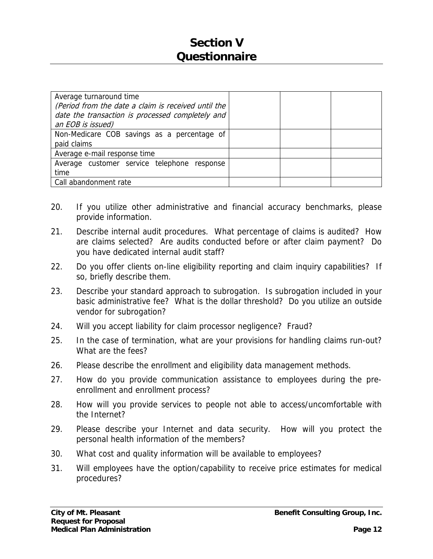# **Section V Questionnaire**

| Average turnaround time<br>(Period from the date a claim is received until the<br>date the transaction is processed completely and<br>an EOB is issued) |  |
|---------------------------------------------------------------------------------------------------------------------------------------------------------|--|
| Non-Medicare COB savings as a percentage of<br>paid claims                                                                                              |  |
| Average e-mail response time                                                                                                                            |  |
| Average customer service telephone response<br>time                                                                                                     |  |
| Call abandonment rate                                                                                                                                   |  |

- 20. If you utilize other administrative and financial accuracy benchmarks, please provide information.
- 21. Describe internal audit procedures. What percentage of claims is audited? How are claims selected? Are audits conducted before or after claim payment? Do you have dedicated internal audit staff?
- 22. Do you offer clients on-line eligibility reporting and claim inquiry capabilities? If so, briefly describe them.
- 23. Describe your standard approach to subrogation. Is subrogation included in your basic administrative fee? What is the dollar threshold? Do you utilize an outside vendor for subrogation?
- 24. Will you accept liability for claim processor negligence? Fraud?
- 25. In the case of termination, what are your provisions for handling claims run-out? What are the fees?
- 26. Please describe the enrollment and eligibility data management methods.
- 27. How do you provide communication assistance to employees during the preenrollment and enrollment process?
- 28. How will you provide services to people not able to access/uncomfortable with the Internet?
- 29. Please describe your Internet and data security. How will you protect the personal health information of the members?
- 30. What cost and quality information will be available to employees?
- 31. Will employees have the option/capability to receive price estimates for medical procedures?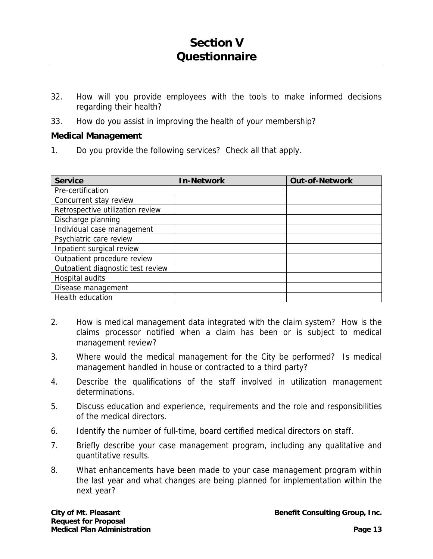- 32. How will you provide employees with the tools to make informed decisions regarding their health?
- 33. How do you assist in improving the health of your membership?

### **Medical Management**

1. Do you provide the following services? Check all that apply.

| <b>Service</b>                    | <b>In-Network</b> | <b>Out-of-Network</b> |
|-----------------------------------|-------------------|-----------------------|
| Pre-certification                 |                   |                       |
| Concurrent stay review            |                   |                       |
| Retrospective utilization review  |                   |                       |
| Discharge planning                |                   |                       |
| Individual case management        |                   |                       |
| Psychiatric care review           |                   |                       |
| Inpatient surgical review         |                   |                       |
| Outpatient procedure review       |                   |                       |
| Outpatient diagnostic test review |                   |                       |
| Hospital audits                   |                   |                       |
| Disease management                |                   |                       |
| Health education                  |                   |                       |

- 2. How is medical management data integrated with the claim system? How is the claims processor notified when a claim has been or is subject to medical management review?
- 3. Where would the medical management for the City be performed? Is medical management handled in house or contracted to a third party?
- 4. Describe the qualifications of the staff involved in utilization management determinations.
- 5. Discuss education and experience, requirements and the role and responsibilities of the medical directors.
- 6. Identify the number of full-time, board certified medical directors on staff.
- 7. Briefly describe your case management program, including any qualitative and quantitative results.
- 8. What enhancements have been made to your case management program within the last year and what changes are being planned for implementation within the next year?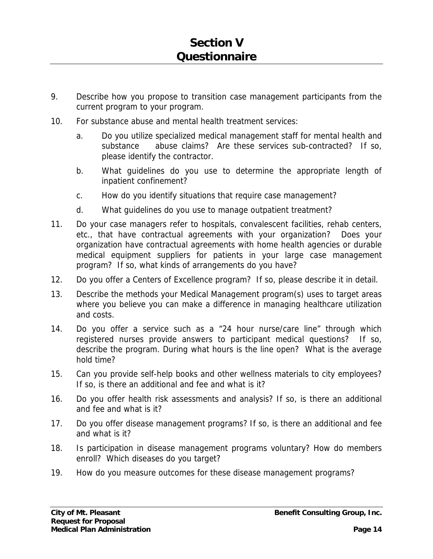- 9. Describe how you propose to transition case management participants from the current program to your program.
- 10. For substance abuse and mental health treatment services:
	- a. Do you utilize specialized medical management staff for mental health and substance abuse claims? Are these services sub-contracted? If so, please identify the contractor.
	- b. What guidelines do you use to determine the appropriate length of inpatient confinement?
	- c. How do you identify situations that require case management?
	- d. What guidelines do you use to manage outpatient treatment?
- 11. Do your case managers refer to hospitals, convalescent facilities, rehab centers, etc., that have contractual agreements with your organization? Does your organization have contractual agreements with home health agencies or durable medical equipment suppliers for patients in your large case management program? If so, what kinds of arrangements do you have?
- 12. Do you offer a Centers of Excellence program? If so, please describe it in detail.
- 13. Describe the methods your Medical Management program(s) uses to target areas where you believe you can make a difference in managing healthcare utilization and costs.
- 14. Do you offer a service such as a "24 hour nurse/care line" through which registered nurses provide answers to participant medical questions? If so, describe the program. During what hours is the line open? What is the average hold time?
- 15. Can you provide self-help books and other wellness materials to city employees? If so, is there an additional and fee and what is it?
- 16. Do you offer health risk assessments and analysis? If so, is there an additional and fee and what is it?
- 17. Do you offer disease management programs? If so, is there an additional and fee and what is it?
- 18. Is participation in disease management programs voluntary? How do members enroll? Which diseases do you target?
- 19. How do you measure outcomes for these disease management programs?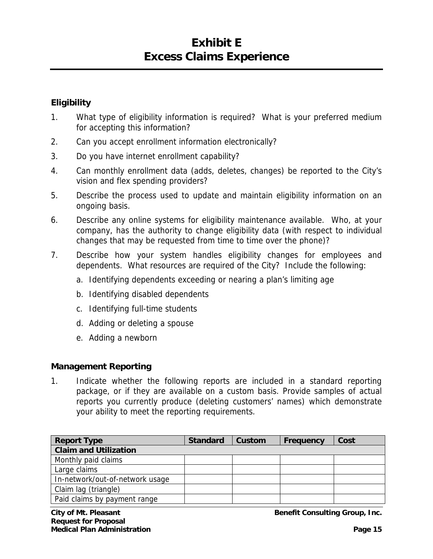# **Exhibit E Excess Claims Experience**

### **Eligibility**

- 1. What type of eligibility information is required? What is your preferred medium for accepting this information?
- 2. Can you accept enrollment information electronically?
- 3. Do you have internet enrollment capability?
- 4. Can monthly enrollment data (adds, deletes, changes) be reported to the City's vision and flex spending providers?
- 5. Describe the process used to update and maintain eligibility information on an ongoing basis.
- 6. Describe any online systems for eligibility maintenance available. Who, at your company, has the authority to change eligibility data (with respect to individual changes that may be requested from time to time over the phone)?
- 7. Describe how your system handles eligibility changes for employees and dependents. What resources are required of the City? Include the following:
	- a. Identifying dependents exceeding or nearing a plan's limiting age
	- b. Identifying disabled dependents
	- c. Identifying full-time students
	- d. Adding or deleting a spouse
	- e. Adding a newborn

#### **Management Reporting**

1. Indicate whether the following reports are included in a standard reporting package, or if they are available on a custom basis. Provide samples of actual reports you currently produce (deleting customers' names) which demonstrate your ability to meet the reporting requirements.

| <b>Report Type</b>              | <b>Standard</b> | Custom | Frequency | Cost |
|---------------------------------|-----------------|--------|-----------|------|
| <b>Claim and Utilization</b>    |                 |        |           |      |
| Monthly paid claims             |                 |        |           |      |
| Large claims                    |                 |        |           |      |
| In-network/out-of-network usage |                 |        |           |      |
| Claim lag (triangle)            |                 |        |           |      |
| Paid claims by payment range    |                 |        |           |      |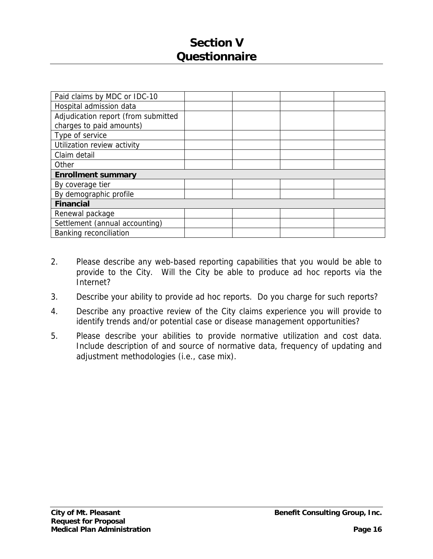# **Section V Questionnaire**

| Paid claims by MDC or IDC-10        |  |  |  |  |
|-------------------------------------|--|--|--|--|
| Hospital admission data             |  |  |  |  |
| Adjudication report (from submitted |  |  |  |  |
| charges to paid amounts)            |  |  |  |  |
| Type of service                     |  |  |  |  |
| Utilization review activity         |  |  |  |  |
| Claim detail                        |  |  |  |  |
| Other                               |  |  |  |  |
| <b>Enrollment summary</b>           |  |  |  |  |
| By coverage tier                    |  |  |  |  |
| By demographic profile              |  |  |  |  |
| <b>Financial</b>                    |  |  |  |  |
| Renewal package                     |  |  |  |  |
| Settlement (annual accounting)      |  |  |  |  |
| Banking reconciliation              |  |  |  |  |

- 2. Please describe any web-based reporting capabilities that you would be able to provide to the City. Will the City be able to produce ad hoc reports via the Internet?
- 3. Describe your ability to provide ad hoc reports. Do you charge for such reports?
- 4. Describe any proactive review of the City claims experience you will provide to identify trends and/or potential case or disease management opportunities?
- 5. Please describe your abilities to provide normative utilization and cost data. Include description of and source of normative data, frequency of updating and adjustment methodologies (i.e., case mix).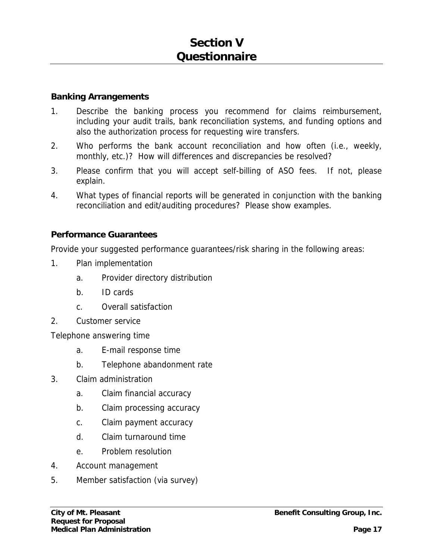#### **Banking Arrangements**

- 1. Describe the banking process you recommend for claims reimbursement, including your audit trails, bank reconciliation systems, and funding options and also the authorization process for requesting wire transfers.
- 2. Who performs the bank account reconciliation and how often (i.e., weekly, monthly, etc.)? How will differences and discrepancies be resolved?
- 3. Please confirm that you will accept self-billing of ASO fees. If not, please explain.
- 4. What types of financial reports will be generated in conjunction with the banking reconciliation and edit/auditing procedures? Please show examples.

### **Performance Guarantees**

Provide your suggested performance guarantees/risk sharing in the following areas:

- 1. Plan implementation
	- a. Provider directory distribution
	- b. ID cards
	- c. Overall satisfaction
- 2. Customer service

Telephone answering time

- a. E-mail response time
- b. Telephone abandonment rate
- 3. Claim administration
	- a. Claim financial accuracy
	- b. Claim processing accuracy
	- c. Claim payment accuracy
	- d. Claim turnaround time
	- e. Problem resolution
- 4. Account management
- 5. Member satisfaction (via survey)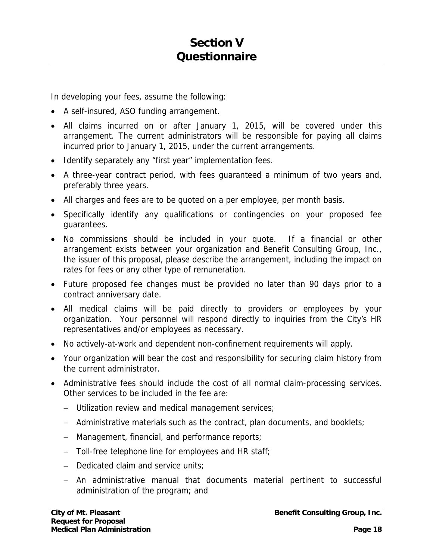In developing your fees, assume the following:

- A self-insured, ASO funding arrangement.
- All claims incurred on or after January 1, 2015, will be covered under this arrangement. The current administrators will be responsible for paying all claims incurred prior to January 1, 2015, under the current arrangements.
- Identify separately any "first year" implementation fees.
- A three-year contract period, with fees guaranteed a minimum of two years and, preferably three years.
- All charges and fees are to be quoted on a per employee, per month basis.
- Specifically identify any qualifications or contingencies on your proposed fee guarantees.
- No commissions should be included in your quote. If a financial or other arrangement exists between your organization and Benefit Consulting Group, Inc., the issuer of this proposal, please describe the arrangement, including the impact on rates for fees or any other type of remuneration.
- Future proposed fee changes must be provided no later than 90 days prior to a contract anniversary date.
- All medical claims will be paid directly to providers or employees by your organization. Your personnel will respond directly to inquiries from the City's HR representatives and/or employees as necessary.
- No actively-at-work and dependent non-confinement requirements will apply.
- Your organization will bear the cost and responsibility for securing claim history from the current administrator.
- Administrative fees should include the cost of all normal claim-processing services. Other services to be included in the fee are:
	- Utilization review and medical management services;
	- Administrative materials such as the contract, plan documents, and booklets;
	- Management, financial, and performance reports;
	- $-$  Toll-free telephone line for employees and HR staff;
	- Dedicated claim and service units;
	- An administrative manual that documents material pertinent to successful administration of the program; and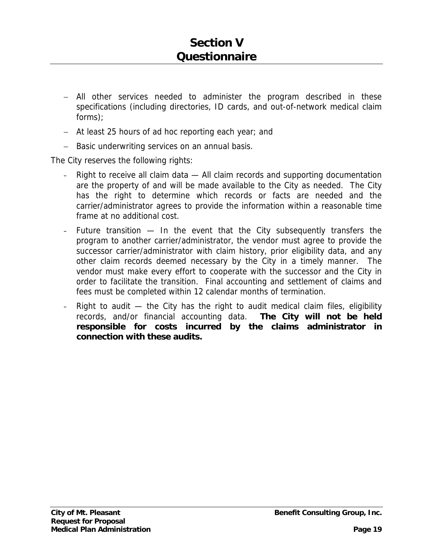- All other services needed to administer the program described in these specifications (including directories, ID cards, and out-of-network medical claim forms);
- At least 25 hours of ad hoc reporting each year; and
- Basic underwriting services on an annual basis.

The City reserves the following rights:

- Right to receive all claim data All claim records and supporting documentation are the property of and will be made available to the City as needed. The City has the right to determine which records or facts are needed and the carrier/administrator agrees to provide the information within a reasonable time frame at no additional cost.
- Future transition  $-$  In the event that the City subsequently transfers the program to another carrier/administrator, the vendor must agree to provide the successor carrier/administrator with claim history, prior eligibility data, and any other claim records deemed necessary by the City in a timely manner. The vendor must make every effort to cooperate with the successor and the City in order to facilitate the transition. Final accounting and settlement of claims and fees must be completed within 12 calendar months of termination.
- Right to audit  $-$  the City has the right to audit medical claim files, eligibility records, and/or financial accounting data. **The City will not be held responsible for costs incurred by the claims administrator in connection with these audits.**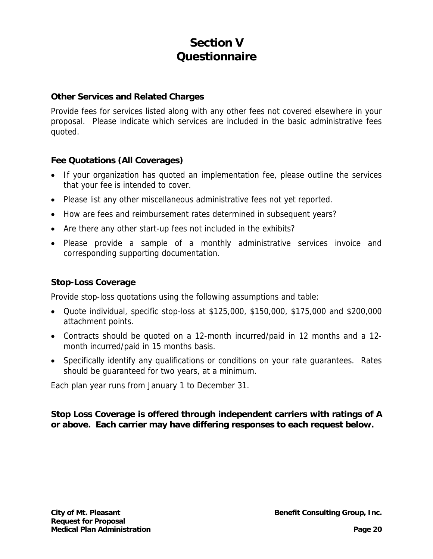#### **Other Services and Related Charges**

Provide fees for services listed along with any other fees not covered elsewhere in your proposal. Please indicate which services are included in the basic administrative fees quoted.

### **Fee Quotations (All Coverages)**

- If your organization has quoted an implementation fee, please outline the services that your fee is intended to cover.
- Please list any other miscellaneous administrative fees not yet reported.
- How are fees and reimbursement rates determined in subsequent years?
- Are there any other start-up fees not included in the exhibits?
- Please provide a sample of a monthly administrative services invoice and corresponding supporting documentation.

### **Stop-Loss Coverage**

Provide stop-loss quotations using the following assumptions and table:

- Quote individual, specific stop-loss at \$125,000, \$150,000, \$175,000 and \$200,000 attachment points.
- Contracts should be quoted on a 12-month incurred/paid in 12 months and a 12 month incurred/paid in 15 months basis.
- Specifically identify any qualifications or conditions on your rate guarantees. Rates should be guaranteed for two years, at a minimum.

Each plan year runs from January 1 to December 31.

### **Stop Loss Coverage is offered through independent carriers with ratings of A or above. Each carrier may have differing responses to each request below.**